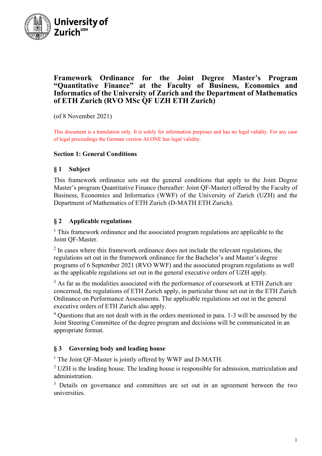

## **Framework Ordinance for the Joint Degree Master's Program "Quantitative Finance" at the Faculty of Business, Economics and Informatics of the University of Zurich and the Department of Mathematics of ETH Zurich (RVO MSc QF UZH ETH Zurich)**

(of 8 November 2021)

This document is a translation only. It is solely for information purposes and has no legal validity. For any case of legal proceedings the German version ALONE has legal validity.

#### **Section 1: General Conditions**

#### **§ 1 Subject**

This framework ordinance sets out the general conditions that apply to the Joint Degree Master's program Quantitative Finance (hereafter: Joint QF-Master) offered by the Faculty of Business, Economics and Informatics (WWF) of the University of Zurich (UZH) and the Department of Mathematics of ETH Zurich (D-MATH ETH Zurich).

#### **§ 2 Applicable regulations**

<sup>1</sup> This framework ordinance and the associated program regulations are applicable to the Joint QF-Master.

 $2 \text{ In cases where this framework or}$  ordinance does not include the relevant regulations, the regulations set out in the framework ordinance for the Bachelor's and Master's degree programs of 6 September 2021 (RVO WWF) and the associated program regulations as well as the applicable regulations set out in the general executive orders of UZH apply.

 $3$  As far as the modalities associated with the performance of coursework at ETH Zurich are concerned, the regulations of ETH Zurich apply, in particular those set out in the ETH Zurich Ordinance on Performance Assessments. The applicable regulations set out in the general executive orders of ETH Zurich also apply.

 $4$  Questions that are not dealt with in the orders mentioned in para. 1-3 will be assessed by the Joint Steering Committee of the degree program and decisions will be communicated in an appropriate format.

### **§ 3 Governing body and leading house**

<sup>1</sup> The Joint QF-Master is jointly offered by WWF and D-MATH.

 $2$  UZH is the leading house. The leading house is responsible for admission, matriculation and administration.

<sup>3</sup> Details on governance and committees are set out in an agreement between the two universities.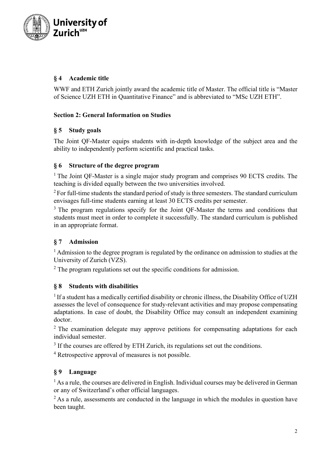

# **§ 4 Academic title**

WWF and ETH Zurich jointly award the academic title of Master. The official title is "Master of Science UZH ETH in Quantitative Finance" and is abbreviated to "MSc UZH ETH".

## **Section 2: General Information on Studies**

## **§ 5 Study goals**

The Joint QF-Master equips students with in-depth knowledge of the subject area and the ability to independently perform scientific and practical tasks.

## **§ 6 Structure of the degree program**

<sup>1</sup> The Joint QF-Master is a single major study program and comprises 90 ECTS credits. The teaching is divided equally between the two universities involved.

 $2$  For full-time students the standard period of study is three semesters. The standard curriculum envisages full-time students earning at least 30 ECTS credits per semester.

<sup>3</sup> The program regulations specify for the Joint QF-Master the terms and conditions that students must meet in order to complete it successfully. The standard curriculum is published in an appropriate format.

# **§ 7 Admission**

<sup>1</sup> Admission to the degree program is regulated by the ordinance on admission to studies at the University of Zurich (VZS).

 $2$  The program regulations set out the specific conditions for admission.

# **§ 8 Students with disabilities**

<sup>1</sup> If a student has a medically certified disability or chronic illness, the Disability Office of UZH assesses the level of consequence for study-relevant activities and may propose compensating adaptations. In case of doubt, the Disability Office may consult an independent examining doctor.

 $2$ . The examination delegate may approve petitions for compensating adaptations for each individual semester.

<sup>3</sup> If the courses are offered by ETH Zurich, its regulations set out the conditions.

<sup>4</sup> Retrospective approval of measures is not possible.

# **§ 9 Language**

 $<sup>1</sup>$  As a rule, the courses are delivered in English. Individual courses may be delivered in German</sup> or any of Switzerland's other official languages.

 $<sup>2</sup>$  As a rule, assessments are conducted in the language in which the modules in question have</sup> been taught.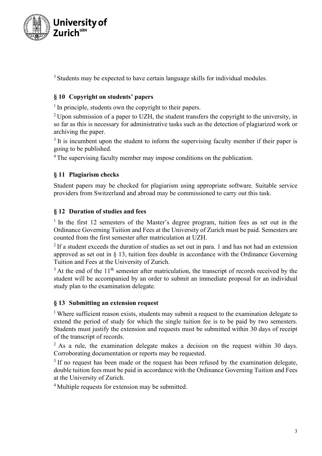

<sup>3</sup> Students may be expected to have certain language skills for individual modules.

# **§ 10 Copyright on students' papers**

<sup>1</sup> In principle, students own the copyright to their papers.

 $2$  Upon submission of a paper to UZH, the student transfers the copyright to the university, in so far as this is necessary for administrative tasks such as the detection of plagiarized work or archiving the paper.

 $3$  It is incumbent upon the student to inform the supervising faculty member if their paper is going to be published.

<sup>4</sup> The supervising faculty member may impose conditions on the publication.

# **§ 11 Plagiarism checks**

Student papers may be checked for plagiarism using appropriate software. Suitable service providers from Switzerland and abroad may be commissioned to carry out this task.

# **§ 12 Duration of studies and fees**

 $1$  In the first 12 semesters of the Master's degree program, tuition fees as set out in the Ordinance Governing Tuition and Fees at the University of Zurich must be paid. Semesters are counted from the first semester after matriculation at UZH.

 $2$  If a student exceeds the duration of studies as set out in para. 1 and has not had an extension approved as set out in § 13, tuition fees double in accordance with the Ordinance Governing Tuition and Fees at the University of Zurich.

 $3$  At the end of the 11<sup>th</sup> semester after matriculation, the transcript of records received by the student will be accompanied by an order to submit an immediate proposal for an individual study plan to the examination delegate.

### **§ 13 Submitting an extension request**

<sup>1</sup> Where sufficient reason exists, students may submit a request to the examination delegate to extend the period of study for which the single tuition fee is to be paid by two semesters. Students must justify the extension and requests must be submitted within 30 days of receipt of the transcript of records.

 $2$  As a rule, the examination delegate makes a decision on the request within 30 days. Corroborating documentation or reports may be requested.

 $3$  If no request has been made or the request has been refused by the examination delegate, double tuition fees must be paid in accordance with the Ordinance Governing Tuition and Fees at the University of Zurich.

<sup>4</sup> Multiple requests for extension may be submitted.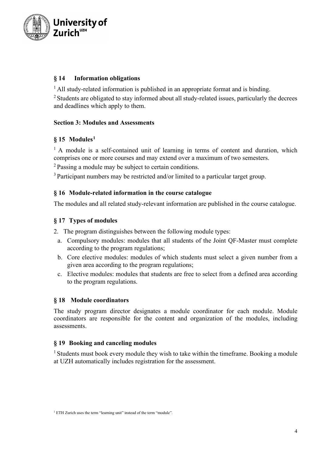

## **§ 14 Information obligations**

<sup>1</sup> All study-related information is published in an appropriate format and is binding.

 $2$  Students are obligated to stay informed about all study-related issues, particularly the decrees and deadlines which apply to them.

## **Section 3: Modules and Assessments**

# **§ 15 Modules[1](#page-3-0)**

 $<sup>1</sup>$  A module is a self-contained unit of learning in terms of content and duration, which</sup> comprises one or more courses and may extend over a maximum of two semesters.

<sup>2</sup> Passing a module may be subject to certain conditions.

 $3$  Participant numbers may be restricted and/or limited to a particular target group.

### **§ 16 Module-related information in the course catalogue**

The modules and all related study-relevant information are published in the course catalogue.

### **§ 17 Types of modules**

2. The program distinguishes between the following module types:

- a. Compulsory modules: modules that all students of the Joint QF-Master must complete according to the program regulations;
- b. Core elective modules: modules of which students must select a given number from a given area according to the program regulations;
- c. Elective modules: modules that students are free to select from a defined area according to the program regulations.

### **§ 18 Module coordinators**

The study program director designates a module coordinator for each module. Module coordinators are responsible for the content and organization of the modules, including assessments.

### **§ 19 Booking and canceling modules**

<sup>1</sup> Students must book every module they wish to take within the timeframe. Booking a module at UZH automatically includes registration for the assessment.

<span id="page-3-0"></span><sup>&</sup>lt;sup>1</sup> ETH Zurich uses the term "learning unit" instead of the term "module".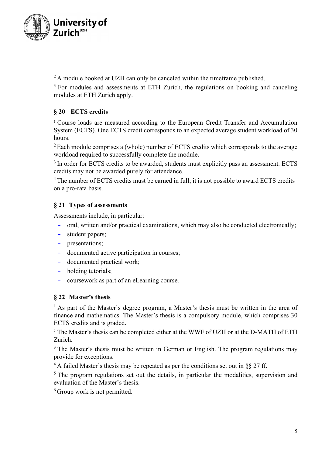

 $2$  A module booked at UZH can only be canceled within the timeframe published.

<sup>3</sup> For modules and assessments at ETH Zurich, the regulations on booking and canceling modules at ETH Zurich apply.

## **§ 20 ECTS credits**

<sup>1</sup> Course loads are measured according to the European Credit Transfer and Accumulation System (ECTS). One ECTS credit corresponds to an expected average student workload of 30 hours.

 $2$  Each module comprises a (whole) number of ECTS credits which corresponds to the average workload required to successfully complete the module.

<sup>3</sup> In order for ECTS credits to be awarded, students must explicitly pass an assessment. ECTS credits may not be awarded purely for attendance.

<sup>4</sup> The number of ECTS credits must be earned in full; it is not possible to award ECTS credits on a pro-rata basis.

# **§ 21 Types of assessments**

Assessments include, in particular:

- oral, written and/or practical examinations, which may also be conducted electronically;
- student papers;
- presentations;
- documented active participation in courses;
- documented practical work;
- holding tutorials;
- coursework as part of an eLearning course.

### **§ 22 Master's thesis**

<sup>1</sup> As part of the Master's degree program, a Master's thesis must be written in the area of finance and mathematics. The Master's thesis is a compulsory module, which comprises 30 ECTS credits and is graded.

<sup>2</sup> The Master's thesis can be completed either at the WWF of UZH or at the D-MATH of ETH Zurich.

<sup>3</sup> The Master's thesis must be written in German or English. The program regulations may provide for exceptions.

 $4$ A failed Master's thesis may be repeated as per the conditions set out in §§ 27 ff.

 $<sup>5</sup>$  The program regulations set out the details, in particular the modalities, supervision and</sup> evaluation of the Master's thesis.

<sup>6</sup> Group work is not permitted.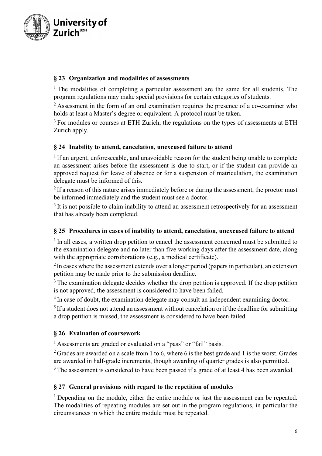

## **§ 23 Organization and modalities of assessments**

 $1$  The modalities of completing a particular assessment are the same for all students. The program regulations may make special provisions for certain categories of students.

 $2$  Assessment in the form of an oral examination requires the presence of a co-examiner who holds at least a Master's degree or equivalent. A protocol must be taken.

 $3$  For modules or courses at ETH Zurich, the regulations on the types of assessments at ETH Zurich apply.

## **§ 24 Inability to attend, cancelation, unexcused failure to attend**

 $1$  If an urgent, unforeseeable, and unavoidable reason for the student being unable to complete an assessment arises before the assessment is due to start, or if the student can provide an approved request for leave of absence or for a suspension of matriculation, the examination delegate must be informed of this.

 $2$  If a reason of this nature arises immediately before or during the assessment, the proctor must be informed immediately and the student must see a doctor.

<sup>3</sup> It is not possible to claim inability to attend an assessment retrospectively for an assessment that has already been completed.

## **§ 25 Procedures in cases of inability to attend, cancelation, unexcused failure to attend**

 $<sup>1</sup>$  In all cases, a written drop petition to cancel the assessment concerned must be submitted to</sup> the examination delegate and no later than five working days after the assessment date, along with the appropriate corroborations (e.g., a medical certificate).

 $2$  In cases where the assessment extends over a longer period (papers in particular), an extension petition may be made prior to the submission deadline.

<sup>3</sup> The examination delegate decides whether the drop petition is approved. If the drop petition is not approved, the assessment is considered to have been failed.

<sup>4</sup> In case of doubt, the examination delegate may consult an independent examining doctor.

 $<sup>5</sup>$  If a student does not attend an assessment without cancelation or if the deadline for submitting</sup> a drop petition is missed, the assessment is considered to have been failed.

### **§ 26 Evaluation of coursework**

<sup>1</sup> Assessments are graded or evaluated on a "pass" or "fail" basis.

<sup>2</sup> Grades are awarded on a scale from 1 to 6, where 6 is the best grade and 1 is the worst. Grades are awarded in half-grade increments, though awarding of quarter grades is also permitted.

<sup>3</sup> The assessment is considered to have been passed if a grade of at least 4 has been awarded.

### **§ 27 General provisions with regard to the repetition of modules**

<sup>1</sup> Depending on the module, either the entire module or just the assessment can be repeated. The modalities of repeating modules are set out in the program regulations, in particular the circumstances in which the entire module must be repeated.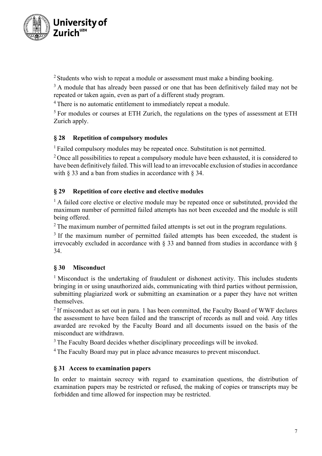

<sup>2</sup> Students who wish to repeat a module or assessment must make a binding booking.

 $3$  A module that has already been passed or one that has been definitively failed may not be repeated or taken again, even as part of a different study program.

<sup>4</sup> There is no automatic entitlement to immediately repeat a module.

<sup>5</sup> For modules or courses at ETH Zurich, the regulations on the types of assessment at ETH Zurich apply.

### **§ 28 Repetition of compulsory modules**

<sup>1</sup> Failed compulsory modules may be repeated once. Substitution is not permitted.

 $2$  Once all possibilities to repeat a compulsory module have been exhausted, it is considered to have been definitively failed. This will lead to an irrevocable exclusion of studies in accordance with  $\S$  33 and a ban from studies in accordance with  $\S$  34.

### **§ 29 Repetition of core elective and elective modules**

 $<sup>1</sup>$  A failed core elective or elective module may be repeated once or substituted, provided the</sup> maximum number of permitted failed attempts has not been exceeded and the module is still being offered.

 $2$  The maximum number of permitted failed attempts is set out in the program regulations.

<sup>3</sup> If the maximum number of permitted failed attempts has been exceeded, the student is irrevocably excluded in accordance with  $\S$  33 and banned from studies in accordance with  $\S$ 34.

### **§ 30 Misconduct**

<sup>1</sup> Misconduct is the undertaking of fraudulent or dishonest activity. This includes students bringing in or using unauthorized aids, communicating with third parties without permission, submitting plagiarized work or submitting an examination or a paper they have not written themselves.

 $2$  If misconduct as set out in para. 1 has been committed, the Faculty Board of WWF declares the assessment to have been failed and the transcript of records as null and void. Any titles awarded are revoked by the Faculty Board and all documents issued on the basis of the misconduct are withdrawn.

<sup>3</sup> The Faculty Board decides whether disciplinary proceedings will be invoked.

<sup>4</sup> The Faculty Board may put in place advance measures to prevent misconduct.

### **§ 31 Access to examination papers**

In order to maintain secrecy with regard to examination questions, the distribution of examination papers may be restricted or refused, the making of copies or transcripts may be forbidden and time allowed for inspection may be restricted.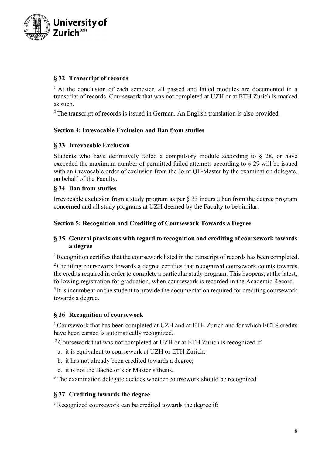

## **§ 32 Transcript of records**

<sup>1</sup> At the conclusion of each semester, all passed and failed modules are documented in a transcript of records. Coursework that was not completed at UZH or at ETH Zurich is marked as such.

 $2$  The transcript of records is issued in German. An English translation is also provided.

#### **Section 4: Irrevocable Exclusion and Ban from studies**

#### **§ 33 Irrevocable Exclusion**

Students who have definitively failed a compulsory module according to § 28, or have exceeded the maximum number of permitted failed attempts according to § 29 will be issued with an irrevocable order of exclusion from the Joint OF-Master by the examination delegate, on behalf of the Faculty.

#### **§ 34 Ban from studies**

Irrevocable exclusion from a study program as per § 33 incurs a ban from the degree program concerned and all study programs at UZH deemed by the Faculty to be similar.

#### **Section 5: Recognition and Crediting of Coursework Towards a Degree**

### **§ 35 General provisions with regard to recognition and crediting of coursework towards a degree**

<sup>1</sup> Recognition certifies that the coursework listed in the transcript of records has been completed. <sup>2</sup> Crediting coursework towards a degree certifies that recognized coursework counts towards the credits required in order to complete a particular study program. This happens, at the latest, following registration for graduation, when coursework is recorded in the Academic Record.  $3$  It is incumbent on the student to provide the documentation required for crediting coursework towards a degree.

#### **§ 36 Recognition of coursework**

<sup>1</sup> Coursework that has been completed at UZH and at ETH Zurich and for which ECTS credits have been earned is automatically recognized.

 $2$  Coursework that was not completed at UZH or at ETH Zurich is recognized if:

- a. it is equivalent to coursework at UZH or ETH Zurich;
- b. it has not already been credited towards a degree;
- c. it is not the Bachelor's or Master's thesis.

<sup>3</sup> The examination delegate decides whether coursework should be recognized.

## **§ 37 Crediting towards the degree**

<sup>1</sup> Recognized coursework can be credited towards the degree if: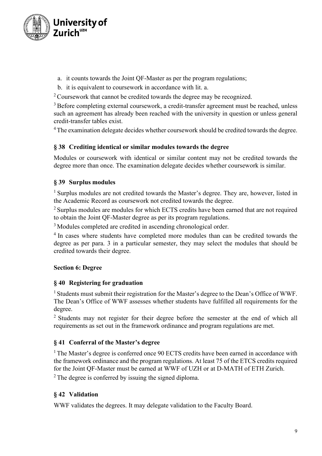

- a. it counts towards the Joint QF-Master as per the program regulations;
- b. it is equivalent to coursework in accordance with lit. a.

 $2$  Coursework that cannot be credited towards the degree may be recognized.

<sup>3</sup> Before completing external coursework, a credit-transfer agreement must be reached, unless such an agreement has already been reached with the university in question or unless general credit-transfer tables exist.

<sup>4</sup> The examination delegate decides whether coursework should be credited towards the degree.

### **§ 38 Crediting identical or similar modules towards the degree**

Modules or coursework with identical or similar content may not be credited towards the degree more than once. The examination delegate decides whether coursework is similar.

### **§ 39 Surplus modules**

<sup>1</sup> Surplus modules are not credited towards the Master's degree. They are, however, listed in the Academic Record as coursework not credited towards the degree.

<sup>2</sup> Surplus modules are modules for which ECTS credits have been earned that are not required to obtain the Joint QF-Master degree as per its program regulations.

<sup>3</sup> Modules completed are credited in ascending chronological order.

<sup>4</sup> In cases where students have completed more modules than can be credited towards the degree as per para. 3 in a particular semester, they may select the modules that should be credited towards their degree.

### **Section 6: Degree**

#### **§ 40 Registering for graduation**

<sup>1</sup> Students must submit their registration for the Master's degree to the Dean's Office of WWF. The Dean's Office of WWF assesses whether students have fulfilled all requirements for the degree.

<sup>2</sup> Students may not register for their degree before the semester at the end of which all requirements as set out in the framework ordinance and program regulations are met.

### **§ 41 Conferral of the Master's degree**

<sup>1</sup> The Master's degree is conferred once 90 ECTS credits have been earned in accordance with the framework ordinance and the program regulations. At least 75 of the ETCS credits required for the Joint QF-Master must be earned at WWF of UZH or at D-MATH of ETH Zurich.

 $2$  The degree is conferred by issuing the signed diploma.

### **§ 42 Validation**

WWF validates the degrees. It may delegate validation to the Faculty Board.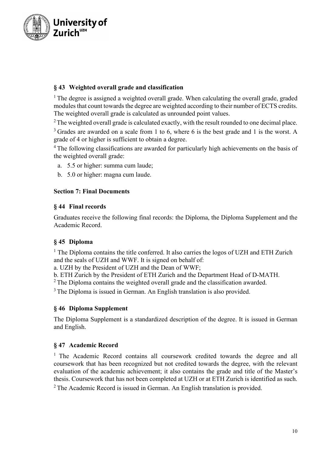

# **§ 43 Weighted overall grade and classification**

 $<sup>1</sup>$  The degree is assigned a weighted overall grade. When calculating the overall grade, graded</sup> modules that count towards the degree are weighted according to their number of ECTS credits. The weighted overall grade is calculated as unrounded point values.

 $2$  The weighted overall grade is calculated exactly, with the result rounded to one decimal place.

 $3$  Grades are awarded on a scale from 1 to 6, where 6 is the best grade and 1 is the worst. A grade of 4 or higher is sufficient to obtain a degree.

<sup>4</sup> The following classifications are awarded for particularly high achievements on the basis of the weighted overall grade:

- a. 5.5 or higher: summa cum laude;
- b. 5.0 or higher: magna cum laude.

#### **Section 7: Final Documents**

#### **§ 44 Final records**

Graduates receive the following final records: the Diploma, the Diploma Supplement and the Academic Record.

### **§ 45 Diploma**

 $<sup>1</sup>$  The Diploma contains the title conferred. It also carries the logos of UZH and ETH Zurich</sup> and the seals of UZH and WWF. It is signed on behalf of:

a. UZH by the President of UZH and the Dean of WWF;

b. ETH Zurich by the President of ETH Zurich and the Department Head of D-MATH.<br><sup>2</sup> The Diploma contains the weighted overall grade and the classification awarded.

<sup>3</sup> The Diploma is issued in German. An English translation is also provided.

### **§ 46 Diploma Supplement**

The Diploma Supplement is a standardized description of the degree. It is issued in German and English.

### **§ 47 Academic Record**

<sup>1</sup> The Academic Record contains all coursework credited towards the degree and all coursework that has been recognized but not credited towards the degree, with the relevant evaluation of the academic achievement; it also contains the grade and title of the Master's thesis. Coursework that has not been completed at UZH or at ETH Zurich is identified as such. <sup>2</sup> The Academic Record is issued in German. An English translation is provided.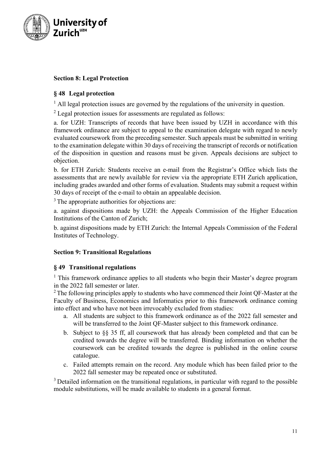

## **Section 8: Legal Protection**

## **§ 48 Legal protection**

 $<sup>1</sup>$  All legal protection issues are governed by the regulations of the university in question.</sup>

 $2$  Legal protection issues for assessments are regulated as follows:

a. for UZH: Transcripts of records that have been issued by UZH in accordance with this framework ordinance are subject to appeal to the examination delegate with regard to newly evaluated coursework from the preceding semester. Such appeals must be submitted in writing to the examination delegate within 30 days of receiving the transcript of records or notification of the disposition in question and reasons must be given. Appeals decisions are subject to objection.

b. for ETH Zurich: Students receive an e-mail from the Registrar's Office which lists the assessments that are newly available for review via the appropriate ETH Zurich application, including grades awarded and other forms of evaluation. Students may submit a request within 30 days of receipt of the e-mail to obtain an appealable decision.

<sup>3</sup> The appropriate authorities for objections are:

a. against dispositions made by UZH: the Appeals Commission of the Higher Education Institutions of the Canton of Zurich;

b. against dispositions made by ETH Zurich: the Internal Appeals Commission of the Federal Institutes of Technology.

### **Section 9: Transitional Regulations**

### **§ 49 Transitional regulations**

<sup>1</sup> This framework ordinance applies to all students who begin their Master's degree program

in the 2022 fall semester or later.<br><sup>2</sup> The following principles apply to students who have commenced their Joint QF-Master at the Faculty of Business, Economics and Informatics prior to this framework ordinance coming into effect and who have not been irrevocably excluded from studies:

- a. All students are subject to this framework ordinance as of the 2022 fall semester and will be transferred to the Joint QF-Master subject to this framework ordinance.
- b. Subject to §§ 35 ff, all coursework that has already been completed and that can be credited towards the degree will be transferred. Binding information on whether the coursework can be credited towards the degree is published in the online course catalogue.
- c. Failed attempts remain on the record. Any module which has been failed prior to the 2022 fall semester may be repeated once or substituted.

<sup>3</sup> Detailed information on the transitional regulations, in particular with regard to the possible module substitutions, will be made available to students in a general format.